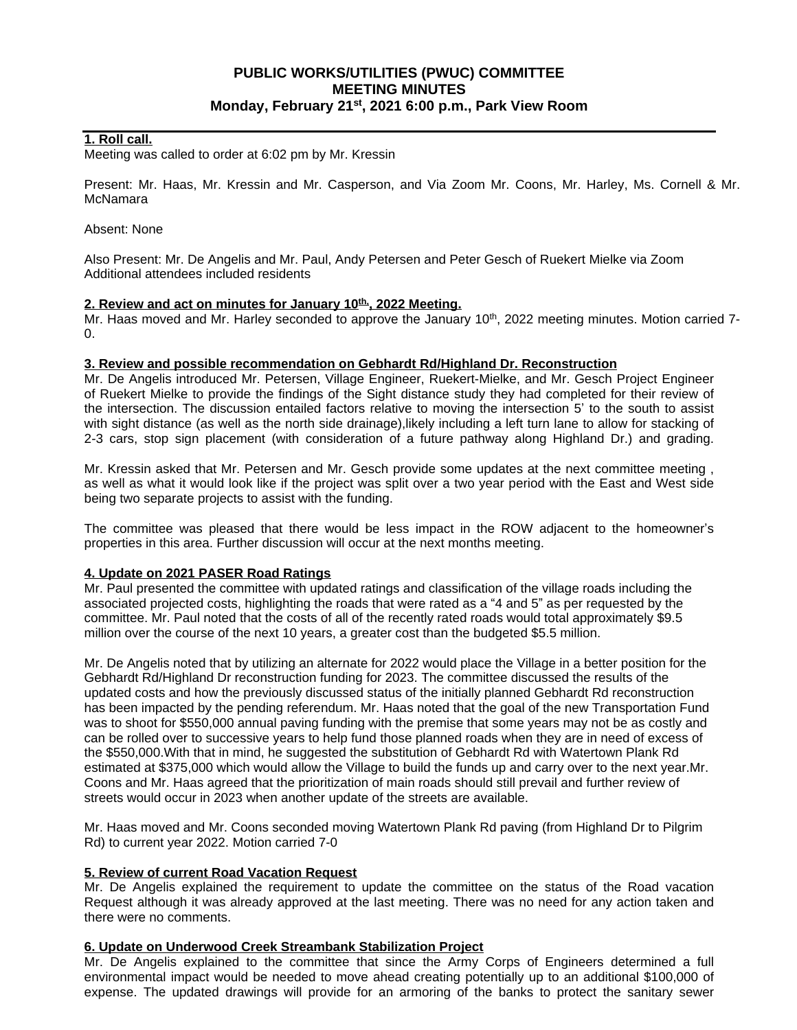# **PUBLIC WORKS/UTILITIES (PWUC) COMMITTEE MEETING MINUTES Monday, February 21st , 2021 6:00 p.m., Park View Room**

### **1. Roll call.**

Meeting was called to order at 6:02 pm by Mr. Kressin

Present: Mr. Haas, Mr. Kressin and Mr. Casperson, and Via Zoom Mr. Coons, Mr. Harley, Ms. Cornell & Mr. **McNamara** 

#### Absent: None

Also Present: Mr. De Angelis and Mr. Paul, Andy Petersen and Peter Gesch of Ruekert Mielke via Zoom Additional attendees included residents

### **2. Review and act on minutes for January 10th,, 2022 Meeting.**

Mr. Haas moved and Mr. Harley seconded to approve the January 10<sup>th</sup>, 2022 meeting minutes. Motion carried 7- $\Omega$ .

#### **3. Review and possible recommendation on Gebhardt Rd/Highland Dr. Reconstruction**

Mr. De Angelis introduced Mr. Petersen, Village Engineer, Ruekert-Mielke, and Mr. Gesch Project Engineer of Ruekert Mielke to provide the findings of the Sight distance study they had completed for their review of the intersection. The discussion entailed factors relative to moving the intersection 5' to the south to assist with sight distance (as well as the north side drainage),likely including a left turn lane to allow for stacking of 2-3 cars, stop sign placement (with consideration of a future pathway along Highland Dr.) and grading.

Mr. Kressin asked that Mr. Petersen and Mr. Gesch provide some updates at the next committee meeting , as well as what it would look like if the project was split over a two year period with the East and West side being two separate projects to assist with the funding.

The committee was pleased that there would be less impact in the ROW adjacent to the homeowner's properties in this area. Further discussion will occur at the next months meeting.

### **4. Update on 2021 PASER Road Ratings**

Mr. Paul presented the committee with updated ratings and classification of the village roads including the associated projected costs, highlighting the roads that were rated as a "4 and 5" as per requested by the committee. Mr. Paul noted that the costs of all of the recently rated roads would total approximately \$9.5 million over the course of the next 10 years, a greater cost than the budgeted \$5.5 million.

Mr. De Angelis noted that by utilizing an alternate for 2022 would place the Village in a better position for the Gebhardt Rd/Highland Dr reconstruction funding for 2023. The committee discussed the results of the updated costs and how the previously discussed status of the initially planned Gebhardt Rd reconstruction has been impacted by the pending referendum. Mr. Haas noted that the goal of the new Transportation Fund was to shoot for \$550,000 annual paving funding with the premise that some years may not be as costly and can be rolled over to successive years to help fund those planned roads when they are in need of excess of the \$550,000.With that in mind, he suggested the substitution of Gebhardt Rd with Watertown Plank Rd estimated at \$375,000 which would allow the Village to build the funds up and carry over to the next year.Mr. Coons and Mr. Haas agreed that the prioritization of main roads should still prevail and further review of streets would occur in 2023 when another update of the streets are available.

Mr. Haas moved and Mr. Coons seconded moving Watertown Plank Rd paving (from Highland Dr to Pilgrim Rd) to current year 2022. Motion carried 7-0

### **5. Review of current Road Vacation Request**

Mr. De Angelis explained the requirement to update the committee on the status of the Road vacation Request although it was already approved at the last meeting. There was no need for any action taken and there were no comments.

### **6. Update on Underwood Creek Streambank Stabilization Project**

Mr. De Angelis explained to the committee that since the Army Corps of Engineers determined a full environmental impact would be needed to move ahead creating potentially up to an additional \$100,000 of expense. The updated drawings will provide for an armoring of the banks to protect the sanitary sewer